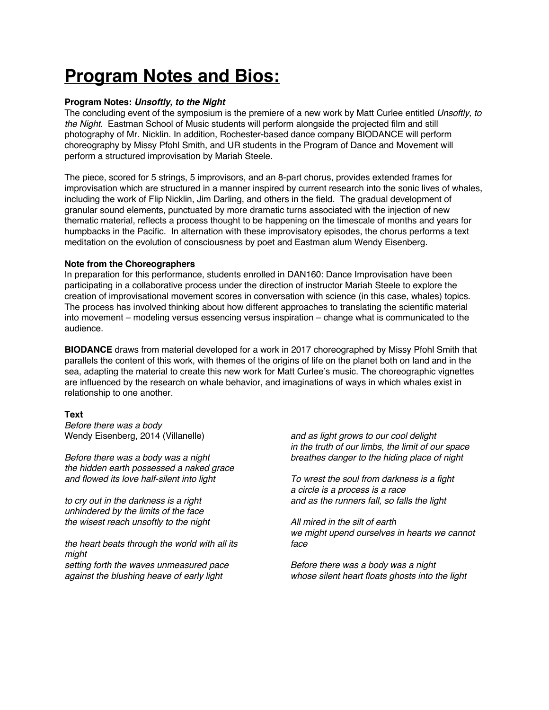# **Program Notes and Bios:**

### **Program Notes:** *Unsoftly, to the Night*

The concluding event of the symposium is the premiere of a new work by Matt Curlee entitled *Unsoftly, to the Night*. Eastman School of Music students will perform alongside the projected film and still photography of Mr. Nicklin. In addition, Rochester-based dance company BIODANCE will perform choreography by Missy Pfohl Smith, and UR students in the Program of Dance and Movement will perform a structured improvisation by Mariah Steele.

The piece, scored for 5 strings, 5 improvisors, and an 8-part chorus, provides extended frames for improvisation which are structured in a manner inspired by current research into the sonic lives of whales, including the work of Flip Nicklin, Jim Darling, and others in the field. The gradual development of granular sound elements, punctuated by more dramatic turns associated with the injection of new thematic material, reflects a process thought to be happening on the timescale of months and years for humpbacks in the Pacific. In alternation with these improvisatory episodes, the chorus performs a text meditation on the evolution of consciousness by poet and Eastman alum Wendy Eisenberg.

#### **Note from the Choreographers**

In preparation for this performance, students enrolled in DAN160: Dance Improvisation have been participating in a collaborative process under the direction of instructor Mariah Steele to explore the creation of improvisational movement scores in conversation with science (in this case, whales) topics. The process has involved thinking about how different approaches to translating the scientific material into movement – modeling versus essencing versus inspiration – change what is communicated to the audience.

**BIODANCE** draws from material developed for a work in 2017 choreographed by Missy Pfohl Smith that parallels the content of this work, with themes of the origins of life on the planet both on land and in the sea, adapting the material to create this new work for Matt Curlee's music. The choreographic vignettes are influenced by the research on whale behavior, and imaginations of ways in which whales exist in relationship to one another.

## **Text**

*Before there was a body* Wendy Eisenberg, 2014 (Villanelle)

*Before there was a body was a night the hidden earth possessed a naked grace and flowed its love half-silent into light*

*to cry out in the darkness is a right unhindered by the limits of the face the wisest reach unsoftly to the night*

*the heart beats through the world with all its might setting forth the waves unmeasured pace against the blushing heave of early light*

*and as light grows to our cool delight in the truth of our limbs, the limit of our space breathes danger to the hiding place of night*

*To wrest the soul from darkness is a fight a circle is a process is a race and as the runners fall, so falls the light*

*All mired in the silt of earth we might upend ourselves in hearts we cannot face*

*Before there was a body was a night whose silent heart floats ghosts into the light*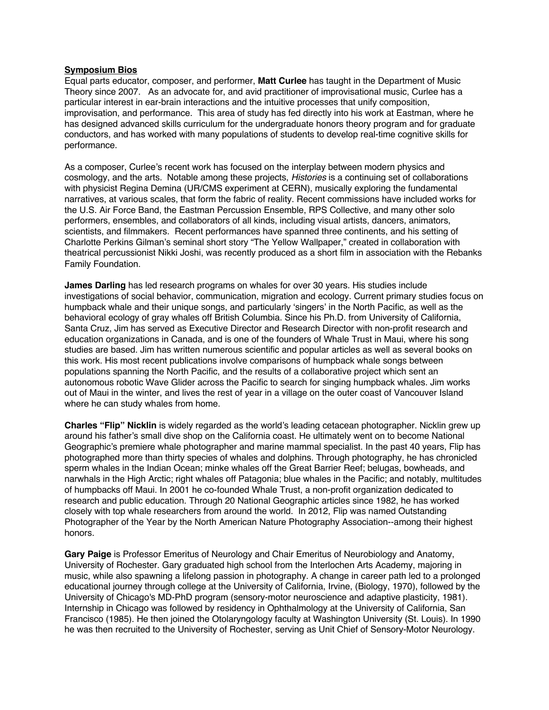#### **Symposium Bios**

Equal parts educator, composer, and performer, **Matt Curlee** has taught in the Department of Music Theory since 2007. As an advocate for, and avid practitioner of improvisational music, Curlee has a particular interest in ear-brain interactions and the intuitive processes that unify composition, improvisation, and performance. This area of study has fed directly into his work at Eastman, where he has designed advanced skills curriculum for the undergraduate honors theory program and for graduate conductors, and has worked with many populations of students to develop real-time cognitive skills for performance.

As a composer, Curlee's recent work has focused on the interplay between modern physics and cosmology, and the arts. Notable among these projects, *Histories* is a continuing set of collaborations with physicist Regina Demina (UR/CMS experiment at CERN), musically exploring the fundamental narratives, at various scales, that form the fabric of reality. Recent commissions have included works for the U.S. Air Force Band, the Eastman Percussion Ensemble, RPS Collective, and many other solo performers, ensembles, and collaborators of all kinds, including visual artists, dancers, animators, scientists, and filmmakers. Recent performances have spanned three continents, and his setting of Charlotte Perkins Gilman's seminal short story "The Yellow Wallpaper," created in collaboration with theatrical percussionist Nikki Joshi, was recently produced as a short film in association with the Rebanks Family Foundation.

**James Darling** has led research programs on whales for over 30 years. His studies include investigations of social behavior, communication, migration and ecology. Current primary studies focus on humpback whale and their unique songs, and particularly 'singers' in the North Pacific, as well as the behavioral ecology of gray whales off British Columbia. Since his Ph.D. from University of California, Santa Cruz, Jim has served as Executive Director and Research Director with non-profit research and education organizations in Canada, and is one of the founders of Whale Trust in Maui, where his song studies are based. Jim has written numerous scientific and popular articles as well as several books on this work. His most recent publications involve comparisons of humpback whale songs between populations spanning the North Pacific, and the results of a collaborative project which sent an autonomous robotic Wave Glider across the Pacific to search for singing humpback whales. Jim works out of Maui in the winter, and lives the rest of year in a village on the outer coast of Vancouver Island where he can study whales from home.

**Charles "Flip" Nicklin** is widely regarded as the world's leading cetacean photographer. Nicklin grew up around his father's small dive shop on the California coast. He ultimately went on to become National Geographic's premiere whale photographer and marine mammal specialist. In the past 40 years, Flip has photographed more than thirty species of whales and dolphins. Through photography, he has chronicled sperm whales in the Indian Ocean; minke whales off the Great Barrier Reef; belugas, bowheads, and narwhals in the High Arctic; right whales off Patagonia; blue whales in the Pacific; and notably, multitudes of humpbacks off Maui. In 2001 he co-founded Whale Trust, a non-profit organization dedicated to research and public education. Through 20 National Geographic articles since 1982, he has worked closely with top whale researchers from around the world. In 2012, Flip was named Outstanding Photographer of the Year by the North American Nature Photography Association--among their highest honors.

**Gary Paige** is Professor Emeritus of Neurology and Chair Emeritus of Neurobiology and Anatomy, University of Rochester. Gary graduated high school from the Interlochen Arts Academy, majoring in music, while also spawning a lifelong passion in photography. A change in career path led to a prolonged educational journey through college at the University of California, Irvine, (Biology, 1970), followed by the University of Chicago's MD-PhD program (sensory-motor neuroscience and adaptive plasticity, 1981). Internship in Chicago was followed by residency in Ophthalmology at the University of California, San Francisco (1985). He then joined the Otolaryngology faculty at Washington University (St. Louis). In 1990 he was then recruited to the University of Rochester, serving as Unit Chief of Sensory-Motor Neurology.